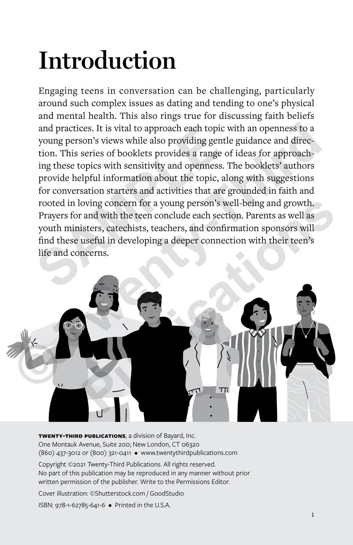# **Introduction**

Engaging teens in conversation can be challenging, particularly around such complex issues as dating and tending to one's physical and mental health. This also rings true for discussing faith beliefs and practices. It is vital to approach each topic with an openness to a young person's views while also providing gentle guidance and direction. This series of booklets provides a range of ideas for approaching these topics with sensitivity and openness. The booklets' authors provide helpful information about the topic, along with suggestions for conversation starters and activities that are grounded in faith and rooted in loving concern for a young person's well-being and growth. Prayers for and with the teen conclude each section. Parents as well as youth ministers, catechists, teachers, and confirmation sponsors will find these useful in developing a deeper connection with their teen's life and concerns. and practices. It is vital to approach each topic w<br>young person's views while also providing gentle<br>tion. This series of booklets provides a range of<br>ing these topics with sensitivity and openness. Tl<br>provide helpful info



**twenty-third publications**, a division of Bayard, Inc. One Montauk Avenue, Suite 200; New London, CT 06320 (860) 437-3012 or (800) 321-0411 • www.twentythirdpublications.com

Copyright ©2021 Twenty-Third Publications. All rights reserved. No part of this publication may be reproduced in any manner without prior written permission of the publisher. Write to the Permissions Editor.

Cover illustration: ©Shutterstock.com / GoodStudio

ISBN: 978-1-62785-641-6 • Printed in the U.S.A.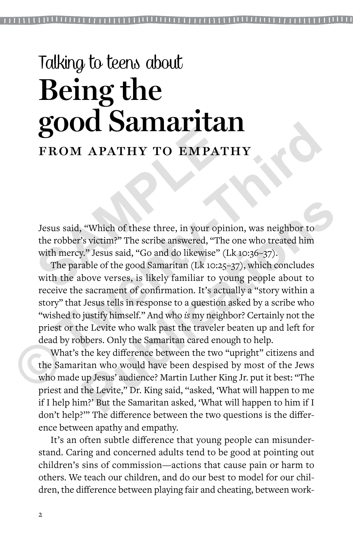## Talking to teens about **Being the good Samaritan** FROM APATHY TO EMPATHY

Jesus said, "Which of these three, in your opinion, was neighbor to the robber's victim?" The scribe answered, "The one who treated him with mercy." Jesus said, "Go and do likewise" (Lk 10:36–37). **SOUCH DEMPATH TO EMPATH**<br>
FROM APATHY TO EMPATH<br>
Jesus said, "Which of these three, in your opinite<br>
the robber's victim?" The scribe answered, "The c<br>
with mercy." Jesus said, "Go and do likewise" (LA<br>
The parable of the

The parable of the good Samaritan (Lk 10:25–37), which concludes with the above verses, is likely familiar to young people about to receive the sacrament of confirmation. It's actually a "story within a story" that Jesus tells in response to a question asked by a scribe who "wished to justify himself." And who *is* my neighbor? Certainly not the priest or the Levite who walk past the traveler beaten up and left for dead by robbers. Only the Samaritan cared enough to help. **SCOOCE SCATTIGET LCCLI**<br>
FROM APATHY TO EMPATHY<br>
Jesus said, "Which of these three, in your opinion, was neighbor to<br>
the robber's victim?" The scribe answered, "The one who treated him<br>
with mercy," Jesus said, "Go and d "Which of these three, in your opinion, was neighbor to"<br>"Sovictim?" The scribe answered, "The one who treated him"." Jesus said, "Go and do likewise" (Lk 10:36–37).<br>"able of the good Samaritan (Lk 10:25–37), which conclud

What's the key difference between the two "upright" citizens and the Samaritan who would have been despised by most of the Jews who made up Jesus' audience? Martin Luther King Jr. put it best: "The priest and the Levite," Dr. King said, ''asked, 'What will happen to me if I help him?' But the Samaritan asked, 'What will happen to him if I don't help?'" The difference between the two questions is the difference between apathy and empathy.

It's an often subtle difference that young people can misunderstand. Caring and concerned adults tend to be good at pointing out children's sins of commission—actions that cause pain or harm to others. We teach our children, and do our best to model for our children, the difference between playing fair and cheating, between work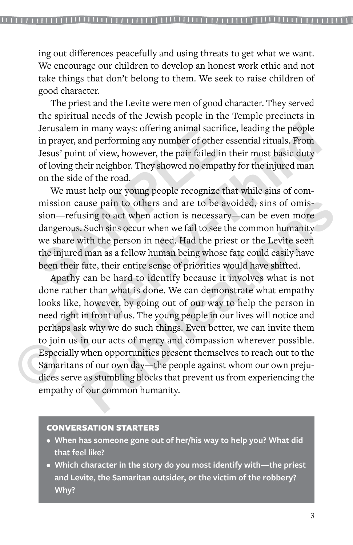ing out differences peacefully and using threats to get what we want. We encourage our children to develop an honest work ethic and not take things that don't belong to them. We seek to raise children of good character.

The priest and the Levite were men of good character. They served the spiritual needs of the Jewish people in the Temple precincts in Jerusalem in many ways: offering animal sacrifice, leading the people in prayer, and performing any number of other essential rituals. From Jesus' point of view, however, the pair failed in their most basic duty of loving their neighbor. They showed no empathy for the injured man on the side of the road.

We must help our young people recognize that while sins of commission cause pain to others and are to be avoided, sins of omission—refusing to act when action is necessary—can be even more dangerous. Such sins occur when we fail to see the common humanity we share with the person in need. Had the priest or the Levite seen the injured man as a fellow human being whose fate could easily have been their fate, their entire sense of priorities would have shifted. Jerusalem in many ways: offering animal sacrifice<br>in prayer, and performing any number of other es<br>Jesus' point of view, however, the pair failed in tl<br>of loving their neighbor. They showed no empathy<br>on the side of the ro

Apathy can be hard to identify because it involves what is not done rather than what is done. We can demonstrate what empathy looks like, however, by going out of our way to help the person in need right in front of us. The young people in our lives will notice and perhaps ask why we do such things. Even better, we can invite them to join us in our acts of mercy and compassion wherever possible. Especially when opportunities present themselves to reach out to the Samaritans of our own day—the people against whom our own prejudices serve as stumbling blocks that prevent us from experiencing the empathy of our common humanity. Jerusalem in many ways: offering animal sacrifice, leading the people<br>in prayer, and performing any number of other essential rituals. From<br>Jesus' point of view, however, the pair failed in their most basic duty<br>of loving use pain to others and are to be avoided, sins of omis-<br>sing to act when action is necessary—can be even more<br>Such sins occur when we fail to see the common humanity<br>vith the person in need. Had the priest or the Levite se

#### CONVERSATION STARTERS

- **• When has someone gone out of her/his way to help you? What did that feel like?**
- **• Which character in the story do you most identify with—the priest and Levite, the Samaritan outsider, or the victim of the robbery? Why?**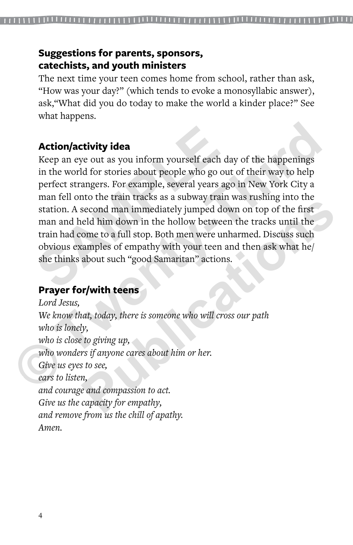### **Suggestions for parents, sponsors, catechists, and youth ministers**

The next time your teen comes home from school, rather than ask, "How was your day?" (which tends to evoke a monosyllabic answer), ask,"What did you do today to make the world a kinder place?" See what happens.

### **Action/activity idea**

Keep an eye out as you inform yourself each day of the happenings in the world for stories about people who go out of their way to help perfect strangers. For example, several years ago in New York City a man fell onto the train tracks as a subway train was rushing into the station. A second man immediately jumped down on top of the first man and held him down in the hollow between the tracks until the train had come to a full stop. Both men were unharmed. Discuss such obvious examples of empathy with your teen and then ask what he/ she thinks about such "good Samaritan" actions. **Action/activity idea**<br>Keep an eye out as you inform yourself each da<br>in the world for stories about people who go out<br>perfect strangers. For example, several years ago<br>man fell onto the train tracks as a subway train v<br>st **Action/activity idea**<br>
Keep an eye out as you inform yourself each day of the happenings<br>
in the world for stories about people who go out of their way to help<br>
perfect strangers. For example, several yeras ago in New Yor

### **Prayer for/with teens**

*Lord Jesus, We know that, today, there is someone who will cross our path who is lonely, who is close to giving up, who wonders if anyone cares about him or her. Give us eyes to see, ears to listen, and courage and compassion to act. Give us the capacity for empathy, and remove from us the chill of apathy. Amen.* From the and the mass as a state who will consider the first eld him down in the hollow between the tracks until the ome to a full stop. Both men were unharmed. Discuss such amples of empathy with your teen and then ask wh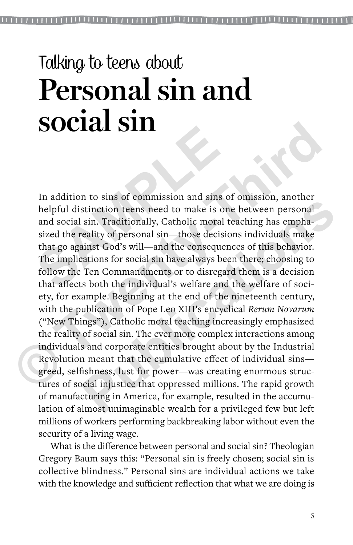## Talking to teens about **Personal sin and social sin**

In addition to sins of commission and sins of omission, another helpful distinction teens need to make is one between personal and social sin. Traditionally, Catholic moral teaching has emphasized the reality of personal sin—those decisions individuals make that go against God's will—and the consequences of this behavior. The implications for social sin have always been there; choosing to follow the Ten Commandments or to disregard them is a decision that affects both the individual's welfare and the welfare of society, for example. Beginning at the end of the nineteenth century, with the publication of Pope Leo XIII's encyclical *Rerum Novarum* ("New Things"), Catholic moral teaching increasingly emphasized the reality of social sin. The ever more complex interactions among individuals and corporate entities brought about by the Industrial Revolution meant that the cumulative effect of individual sins greed, selfishness, lust for power—was creating enormous structures of social injustice that oppressed millions. The rapid growth of manufacturing in America, for example, resulted in the accumulation of almost unimaginable wealth for a privileged few but left millions of workers performing backbreaking labor without even the security of a living wage. In addition to sins of commission and sins of<br>helpful distinction teens need to make is one<br>and social sin. Traditionally, Catholic moral te<br>sized the reality of personal sin—those decision<br>that go against God's will—and t **SOCIZE SIII**<br>
In addition to sins of commission and sins of omission, another<br>
helpful distinction teens need to make is one between personal<br>
and social sin. Traditionally, Catholic moral teaching has empha-<br>
sized the r Formal since that also to consumed the angle of continuation teens need to make is one between personal sin. Traditionally, Catholic moral teaching has empha-eality of personal sin—those decisions individuals make ainst Go

What is the difference between personal and social sin? Theologian Gregory Baum says this: "Personal sin is freely chosen; social sin is collective blindness." Personal sins are individual actions we take with the knowledge and sufficient reflection that what we are doing is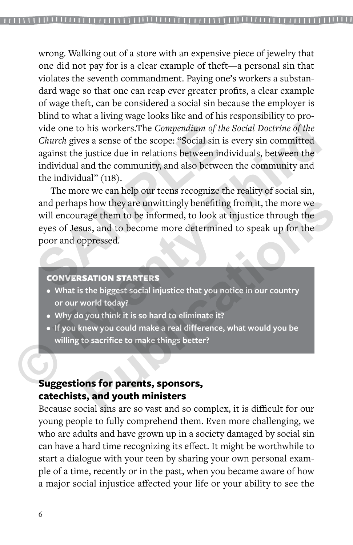wrong. Walking out of a store with an expensive piece of jewelry that one did not pay for is a clear example of theft—a personal sin that violates the seventh commandment. Paying one's workers a substandard wage so that one can reap ever greater profits, a clear example of wage theft, can be considered a social sin because the employer is blind to what a living wage looks like and of his responsibility to provide one to his workers.The *Compendium of the Social Doctrine of the Church* gives a sense of the scope: "Social sin is every sin committed against the justice due in relations between individuals, between the individual and the community, and also between the community and the individual" (118). vide one to his workers.The *Compendium of the Social Doctrine of the*<br> *Church* gives a sense of the scope: "Social sin is every sin committed<br>
against the justice due in relations between individuals, between the<br>
indivi

The more we can help our teens recognize the reality of social sin, and perhaps how they are unwittingly benefiting from it, the more we will encourage them to be informed, to look at injustice through the eyes of Jesus, and to become more determined to speak up for the poor and oppressed. vide one to his workers.The *Compendium* of the *S*<br>*Church* gives a sense of the scope: "Social sin is  $\epsilon$  against the justice due in relations between individual individual and the community, and also between the indivi **Publication Solution** is the more we arge them to be informed, to look at injustice through the<br>
rage them to be informed, to look at injustice through the<br>
sus, and to become more determined to speak up for the<br>
ppressed

#### CONVERSATION STARTERS

- **• What is the biggest social injustice that you notice in our country or our world today?**
- **• Why do you think it is so hard to eliminate it?**
- **• If you knew you could make a real difference, what would you be willing to sacrifice to make things better?**

### **Suggestions for parents, sponsors, catechists, and youth ministers**

Because social sins are so vast and so complex, it is difficult for our young people to fully comprehend them. Even more challenging, we who are adults and have grown up in a society damaged by social sin can have a hard time recognizing its effect. It might be worthwhile to start a dialogue with your teen by sharing your own personal example of a time, recently or in the past, when you became aware of how a major social injustice affected your life or your ability to see the